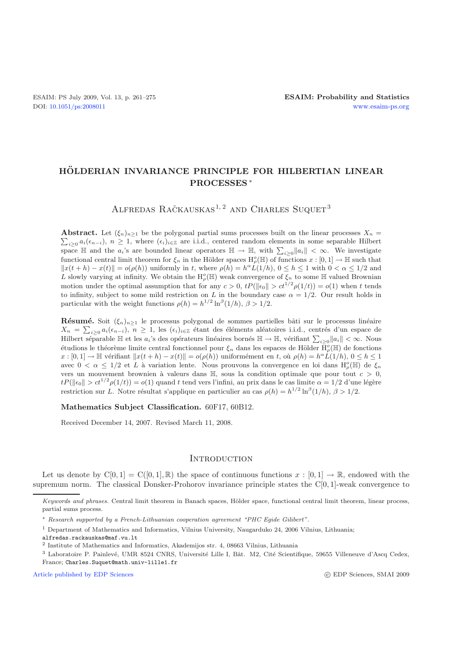# **HOLDERIAN INVARIANCE PRINCI ¨ PLE FOR HILBERTIAN LINEAR PROCESSES** ∗

ALFREDAS RAČKAUSKAS<sup>1,2</sup> AND CHARLES SUQUET<sup>3</sup>

 $\sum_{i\geq 0} a_i(\epsilon_{n-i}), n \geq 1$ , where  $(\epsilon_i)_{i\in \mathbb{Z}}$  are i.i.d., centered random elements in some separable Hilbert **Abstract.** Let  $(\xi_n)_{n\geq 1}$  be the polygonal partial sums processes built on the linear processes  $X_n =$ space  $\mathbb H$  and the  $a_i$ 's are bounded linear operators  $\mathbb H \to \mathbb H$ , with  $\sum_{i\geq 0} ||a_i|| < \infty$ . We investigate functional central limit theorem for  $\xi_n$  in the Hölder spaces  $H^o_\rho(\mathbb{H})$  of functions  $x : [0,1] \to \mathbb{H}$  such that  $||x(t+h) - x(t)|| = o(\rho(h))$  uniformly in t, where  $\rho(h) = h^{\alpha} L(1/h)$ ,  $0 \le h \le 1$  with  $0 < \alpha \le 1/2$  and L slowly varying at infinity. We obtain the  $H^o_\rho(\mathbb{H})$  weak convergence of  $\xi_n$  to some  $\mathbb H$  valued Brownian motion under the optimal assumption that for any  $c > 0$ ,  $tP(\|\epsilon_0\| > ct^{1/2}\rho(1/t)) = o(1)$  when t tends to infinity, subject to some mild restriction on L in the boundary case  $\alpha = 1/2$ . Our result holds in particular with the weight functions  $\rho(h) = h^{1/2} \ln^{\beta}(1/h), \ \beta > 1/2.$ 

**Résumé.** Soit  $(\xi_n)_{n\geq 1}$  le processus polygonal de sommes partielles bâti sur le processus linéaire  $X_n = \sum_{i\geq 0} a_i(\epsilon_{n-i}), \ n\geq 1$ , les  $(\epsilon_i)_{i\in\mathbb{Z}}$  étant des éléments aléatoires i.i.d., centrés d'un espace de Hilbert séparable  $\mathbb H$  et les  $a_i$ 's des opérateurs linéaires bornés  $\mathbb H \to \mathbb H$ , vérifiant  $\sum_{i\geq 0} ||a_i|| < \infty$ . Nous étudions le théorème limite central fonctionnel pour  $\xi_n$  dans les espaces de Hölder  $\bar{H}^o_\rho(\mathbb{H})$  de fonctions  $x : [0,1] \to \mathbb{H}$  vérifiant  $||x(t+h) - x(t)|| = o(\rho(h))$  uniformément en t, où  $\rho(h) = h^{\alpha}L(1/h), 0 \leq h \leq 1$ avec  $0 < \alpha \leq 1/2$  et L à variation lente. Nous prouvons la convergence en loi dans  $H^o_\rho(\mathbb{H})$  de  $\xi_n$ vers un mouvement brownien à valeurs dans  $\mathbb{H}$ , sous la condition optimale que pour tout  $c > 0$ ,  $tP(\|\epsilon_0\| > ct^{1/2}\rho(1/t)) = o(1)$  quand t tend vers l'infini, au prix dans le cas limite  $\alpha = 1/2$  d'une légère restriction sur L. Notre résultat s'applique en particulier au cas  $\rho(h) = h^{1/2} \ln^{\beta}(1/h)$ ,  $\beta > 1/2$ .

**Mathematics Subject Classification.** 60F17, 60B12.

Received December 14, 2007. Revised March 11, 2008.

#### **INTRODUCTION**

Let us denote by  $C[0,1] = C([0,1], \mathbb{R})$  the space of continuous functions  $x : [0,1] \to \mathbb{R}$ , endowed with the supremum norm. The classical Donsker-Prohorov invariance principle states the C[0, 1]-weak convergence to

[Article published by EDP Sciences](http://www.edpsciences.org) c EDP Sciences c EDP Sciences, SMAI 2009

*Keywords and phrases.* Central limit theorem in Banach spaces, Hölder space, functional central limit theorem, linear process, partial sums process.

<sup>∗</sup> *Research supported by a French-Lithuanian cooperation agreement "PHC Egide Gilibert".*

<sup>1</sup> Department of Mathematics and Informatics, Vilnius University, Naugarduko 24, 2006 Vilnius, Lithuania;

alfredas.rackauskas@maf.vu.lt

<sup>2</sup> Institute of Mathematics and Informatics, Akademijos str. 4, 08663 Vilnius, Lithuania

<sup>&</sup>lt;sup>3</sup> Laboratoire P. Painlevé, UMR 8524 CNRS, Université Lille I, Bât. M2, Cité Scientifique, 59655 Villeneuve d'Ascq Cedex, France; Charles.Suquet@math.univ-lille1.fr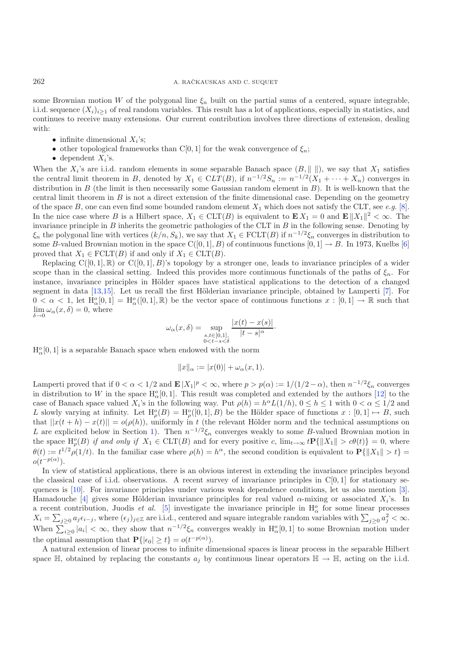some Brownian motion W of the polygonal line  $\xi_n$  built on the partial sums of a centered, square integrable, i.i.d. sequence  $(X_i)_{i\geq 1}$  of real random variables. This result has a lot of applications, especially in statistics, and continues to receive many extensions. Our current contribution involves three directions of extension, dealing with:

- infinite dimensional  $X_i$ 's;
- other topological frameworks than C[0, 1] for the weak convergence of  $\xi_n$ ;
- dependent  $X_i$ 's.

When the  $X_i$ 's are i.i.d. random elements in some separable Banach space  $(B, \|\ \|)$ , we say that  $X_1$  satisfies the central limit theorem in B, denoted by  $X_1 \in CLT(B)$ , if  $n^{-1/2}S_n := n^{-1/2}(X_1 + \cdots + X_n)$  converges in distribution in  $B$  (the limit is then necessarily some Gaussian random element in  $B$ ). It is well-known that the central limit theorem in  $B$  is not a direct extension of the finite dimensional case. Depending on the geometry of the space B, one can even find some bounded random element  $X_1$  which does not satisfy the CLT, see *e.g.* [\[8\]](#page-14-0). In the nice case where B is a Hilbert space,  $X_1 \in \text{CLT}(B)$  is equivalent to  $\mathbf{E} X_1 = 0$  and  $\mathbf{E} ||X_1||^2 < \infty$ . The invariance principle in  $B$  inherits the geometric pathologies of the CLT in  $B$  in the following sense. Denoting by  $\xi_n$  the polygonal line with vertices  $(k/n, S_k)$ , we say that  $X_1 \in \text{FCLT}(B)$  if  $n^{-1/2}\xi_n$  converges in distribution to some B-valued Brownian motion in the space  $C([0, 1], B)$  of continuous functions  $[0, 1] \rightarrow B$ . In 1973, Kuelbs [\[6](#page-14-1)] proved that  $X_1 \in \text{FCLT}(B)$  if and only if  $X_1 \in \text{CLT}(B)$ .

Replacing  $C([0, 1], \mathbb{R})$  or  $C([0, 1], B)$ 's topology by a stronger one, leads to invariance principles of a wider scope than in the classical setting. Indeed this provides more continuous functionals of the paths of  $\xi_n$ . For instance, invariance principles in Hölder spaces have statistical applications to the detection of a changed segment in data [\[13](#page-14-2)[,15](#page-14-3)]. Let us recall the first Hölderian invariance principle, obtained by Lamperti [\[7\]](#page-14-4). For  $0 < \alpha < 1$ , let  $\dot{H}^o_\alpha[0,1] = H^o_\alpha([0,1],\mathbb{R})$  be the vector space of continuous functions  $x : [0,1] \to \mathbb{R}$  such that lim  $\delta \rightarrow 0$  $\omega_{\alpha}(x,\delta) = 0$ , where

$$
\omega_{\alpha}(x,\delta) = \sup_{\substack{s,t \in [0,1],\\0 \le t-s \le \delta}} \frac{|x(t) - x(s)|}{|t - s|^{\alpha}}.
$$

 $H_{\alpha}^{o}[0,1]$  is a separable Banach space when endowed with the norm

$$
||x||_{\alpha} := |x(0)| + \omega_{\alpha}(x, 1).
$$

Lamperti proved that if  $0 < \alpha < 1/2$  and  $\mathbf{E} |X_1|^p < \infty$ , where  $p > p(\alpha) := 1/(1/2 - \alpha)$ , then  $n^{-1/2}\xi_n$  converges in distribution to W in the space  $H_{\alpha}^o[0, 1]$ . This result was completed and extended by the authors [\[12\]](#page-14-5) to the case of Banach space valued  $X_i$ 's in the following way. Put  $\rho(h) = h^{\alpha} L(1/h)$ ,  $0 \le h \le 1$  with  $0 < \alpha \le 1/2$  and L slowly varying at infinity. Let  $H^o_\rho(B) = H^o_\rho([0, 1], B)$  be the Hölder space of functions  $x : [0, 1] \mapsto B$ , such that  $||x(t + h) - x(t)|| = o(\rho(h))$ , uniformly in t (the relevant Hölder norm and the technical assumptions on L are explicited below in Section [1\)](#page-2-0). Then  $n^{-1/2}\xi_n$  converges weakly to some B-valued Brownian motion in the space  $H^o_p(B)$  *if and only if*  $X_1 \in \text{CLT}(B)$  and for every positive c,  $\lim_{t \to \infty} t \mathbf{P}\{\|X_1\| > c\theta(t)\} = 0$ , where  $\theta(t) := t^{1/2} \rho(1/t)$ . In the familiar case where  $\rho(h) = h^{\alpha}$ , the second condition is equivalent to  $\mathbf{P}\{\|X_1\| > t\} =$  $o(t^{-p(\alpha)})$ .

In view of statistical applications, there is an obvious interest in extending the invariance principles beyond the classical case of i.i.d. observations. A recent survey of invariance principles in  $C[0, 1]$  for stationary sequences is [\[10](#page-14-6)]. For invariance principles under various weak dependence conditions, let us also mention [\[3\]](#page-14-7). Hamadouche [\[4](#page-14-8)] gives some Hölderian invariance principles for real valued  $\alpha$ -mixing or associated  $X_i$ 's. In a recent contribution, Juodis *et al.* [\[5](#page-14-9)] investigate the invariance principle in  $H^o_\alpha$  for some linear processes  $X_i = \sum_{j\geq 0} a_j \epsilon_{i-j}$ , where  $(\epsilon_j)_{j\in\mathbb{Z}}$  are i.i.d., centered and square integrable random variables with  $\sum_{j\geq 0} a_j^2 < \infty$ . When  $\sum_{i\geq 0} |a_i| < \infty$ , they show that  $n^{-1/2}\xi_n$  converges weakly in  $H^o_\alpha[0,1]$  to some Brownian motion under the optimal assumption that  $\mathbf{P}\{|e_0| \ge t\} = o(t^{-p(\alpha)})$ .

A natural extension of linear process to infinite dimensional spaces is linear process in the separable Hilbert space  $\mathbb{H}$ , obtained by replacing the constants  $a_j$  by continuous linear operators  $\mathbb{H} \to \mathbb{H}$ , acting on the i.i.d.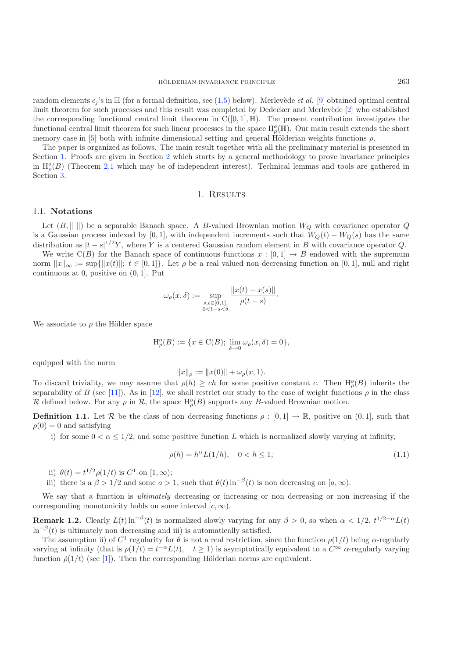random elements  $\epsilon_i$ 's in H (for a formal definition, see [\(1.5\)](#page-3-0) below). Merlevède *et al.* [\[9](#page-14-10)] obtained optimal central limit theorem for such processes and this result was completed by Dedecker and Merlevède  $[2]$  $[2]$  who established the corresponding functional central limit theorem in  $C([0, 1], \mathbb{H})$ . The present contribution investigates the functional central limit theorem for such linear processes in the space  $H^o_\rho(\mathbb{H})$ . Our main result extends the short memory case in [\[5](#page-14-9)] both with infinite dimensional setting and general Hölderian weights functions  $\rho$ .

The paper is organized as follows. The main result together with all the preliminary material is presented in Section [1.](#page-2-0) Proofs are given in Section [2](#page-4-0) which starts by a general methodology to prove invariance principles in  $H_{\rho}^{\circ}(B)$  (Theorem [2.1](#page-2-1) which may be of independent interest). Technical lemmas and tools are gathered in Section [3.](#page-9-0)

### 1. RESULTS

#### <span id="page-2-0"></span>1.1. **Notations**

Let  $(B, \|\ \|)$  be a separable Banach space. A B-valued Brownian motion  $W_Q$  with covariance operator Q is a Gaussian process indexed by [0, 1], with independent increments such that  $W_Q(t) - W_Q(s)$  has the same distribution as  $|t - s|^{1/2}Y$ , where Y is a centered Gaussian random element in B with covariance operator Q.

We write  $C(B)$  for the Banach space of continuous functions  $x : [0,1] \rightarrow B$  endowed with the supremum norm  $||x||_{\infty} := \sup{||x(t)||; t \in [0,1]}.$  Let  $\rho$  be a real valued non decreasing function on [0,1], null and right continuous at 0, positive on  $(0, 1]$ . Put

$$
\omega_{\rho}(x,\delta) := \sup_{\substack{s,t \in [0,1],\\0 < t - s < \delta}} \frac{\|x(t) - x(s)\|}{\rho(t - s)}.
$$

We associate to  $\rho$  the Hölder space

<span id="page-2-2"></span>
$$
\mathrm{H}^o_{\rho}(B) := \{ x \in \mathrm{C}(B); \, \lim_{\delta \to 0} \omega_{\rho}(x,\delta) = 0 \},
$$

equipped with the norm

$$
||x||_{\rho} := ||x(0)|| + \omega_{\rho}(x, 1).
$$

To discard triviality, we may assume that  $\rho(h) \ge ch$  for some positive constant c. Then  $H^o_\rho(B)$  inherits the separability of B (see [\[11](#page-14-12)]). As in [\[12](#page-14-5)], we shall restrict our study to the case of weight functions  $\rho$  in the class R defined below. For any  $\rho$  in R, the space  $H^o_\rho(B)$  supports any B-valued Brownian motion.

<span id="page-2-1"></span>**Definition 1.1.** Let  $\mathcal{R}$  be the class of non decreasing functions  $\rho : [0,1] \to \mathbb{R}$ , positive on  $(0,1]$ , such that  $\rho(0) = 0$  and satisfying

i) for some  $0 < \alpha \leq 1/2$ , and some positive function L which is normalized slowly varying at infinity,

$$
\rho(h) = h^{\alpha} L(1/h), \quad 0 < h \le 1; \tag{1.1}
$$

ii)  $\theta(t) = t^{1/2} \rho(1/t)$  is  $C^1$  on  $[1, \infty)$ ;

iii) there is a  $\beta > 1/2$  and some  $a > 1$ , such that  $\theta(t) \ln^{-\beta}(t)$  is non decreasing on  $[a, \infty)$ .

We say that a function is *ultimately* decreasing or increasing or non decreasing or non increasing if the corresponding monotonicity holds on some interval  $[c, \infty)$ .

<span id="page-2-3"></span>**Remark 1.2.** Clearly  $L(t) \ln^{-\beta}(t)$  is normalized slowly varying for any  $\beta > 0$ , so when  $\alpha < 1/2$ ,  $t^{1/2-\alpha}L(t)$  $\ln^{-\beta}(t)$  is ultimately non decreasing and iii) is automatically satisfied.

The assumption ii) of  $C^1$  regularity for  $\theta$  is not a real restriction, since the function  $\rho(1/t)$  being  $\alpha$ -regularly varying at infinity (that is  $\rho(1/t) = t^{-\alpha}L(t)$ ,  $t \ge 1$ ) is asymptotically equivalent to a  $C^{\infty}$   $\alpha$ -regularly varying function  $\tilde{\rho}(1/t)$  (see [\[1\]](#page-14-13)). Then the corresponding Hölderian norms are equivalent.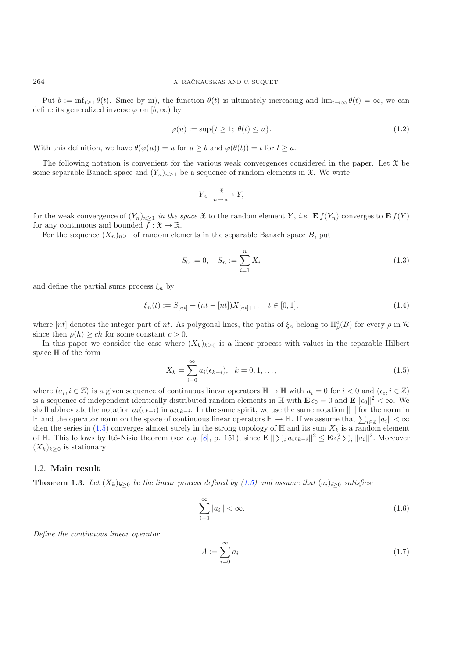Put  $b := \inf_{t>1} \theta(t)$ . Since by iii), the function  $\theta(t)$  is ultimately increasing and  $\lim_{t\to\infty} \theta(t) = \infty$ , we can define its generalized inverse  $\varphi$  on  $[b,\infty)$  by

<span id="page-3-1"></span>
$$
\varphi(u) := \sup\{t \ge 1; \ \theta(t) \le u\}.\tag{1.2}
$$

With this definition, we have  $\theta(\varphi(u)) = u$  for  $u \ge b$  and  $\varphi(\theta(t)) = t$  for  $t \ge a$ .

<span id="page-3-2"></span>The following notation is convenient for the various weak convergences considered in the paper. Let  $\mathfrak X$  be some separable Banach space and  $(Y_n)_{n\geq 1}$  be a sequence of random elements in  $\mathfrak{X}$ . We write

$$
Y_n \xrightarrow[n \to \infty]{\mathfrak{X}} Y,
$$

for the weak convergence of  $(Y_n)_{n>1}$  in the space  $\mathfrak{X}$  to the random element Y, *i.e.*  $\mathbf{E} f(Y_n)$  converges to  $\mathbf{E} f(Y)$ for any continuous and bounded  $f : \mathfrak{X} \to \mathbb{R}$ .

For the sequence  $(X_n)_{n>1}$  of random elements in the separable Banach space B, put

$$
S_0 := 0, \quad S_n := \sum_{i=1}^n X_i \tag{1.3}
$$

and define the partial sums process  $\xi_n$  by

<span id="page-3-0"></span>
$$
\xi_n(t) := S_{[nt]} + (nt - [nt])X_{[nt]+1}, \quad t \in [0,1],
$$
\n(1.4)

where  $[nt]$  denotes the integer part of nt. As polygonal lines, the paths of  $\xi_n$  belong to  $H^o_\rho(B)$  for every  $\rho$  in  $\mathcal R$ since then  $\rho(h) \geq ch$  for some constant  $c > 0$ .

In this paper we consider the case where  $(X_k)_{k\geq 0}$  is a linear process with values in the separable Hilbert space  $\mathbb H$  of the form

<span id="page-3-4"></span>
$$
X_k = \sum_{i=0}^{\infty} a_i(\epsilon_{k-i}), \quad k = 0, 1, ..., \tag{1.5}
$$

where  $(a_i, i \in \mathbb{Z})$  is a given sequence of continuous linear operators  $\mathbb{H} \to \mathbb{H}$  with  $a_i = 0$  for  $i < 0$  and  $(\epsilon_i, i \in \mathbb{Z})$ is a sequence of independent identically distributed random elements in  $\mathbb{H}$  with  $\mathbf{E} \epsilon_0 = 0$  and  $\mathbf{E} \|\epsilon_0\|^2 < \infty$ . We shall abbreviate the notation  $a_i(\epsilon_{k-i})$  in  $a_i \epsilon_{k-i}$ . In the same spirit, we use the same notation  $\| \|$  for the norm in H and the operator norm on the space of continuous linear operators  $\mathbb{H} \to \mathbb{H}$ . If we assume that  $\sum_{i \in \mathbb{Z}} ||a_i|| < \infty$ then the series in [\(1.5\)](#page-3-0) converges almost surely in the strong topology of  $\mathbb H$  and its sum  $X_k$  is a random element of H. This follows by Itô-Nisio theorem (see *e.g.* [\[8\]](#page-14-0), p. 151), since  $\mathbf{E} \|\sum_i a_i \epsilon_{k-i}\|^2 \leq \mathbf{E} \epsilon_0^2$  $\sum_i ||a_i||^2$ . Moreover  $(X_k)_{k\geq 0}$  is stationary.

#### <span id="page-3-3"></span>1.2. **Main result**

**Theorem 1.3.** *Let*  $(X_k)_{k\geq 0}$  *be the linear process defined by [\(1.5\)](#page-3-0) and assume that*  $(a_i)_{i\geq 0}$  *satisfies:* 

$$
\sum_{i=0}^{\infty} ||a_i|| < \infty.
$$
\n(1.6)

*Define the continuous linear operator*

$$
A := \sum_{i=0}^{\infty} a_i,\tag{1.7}
$$

<span id="page-3-5"></span>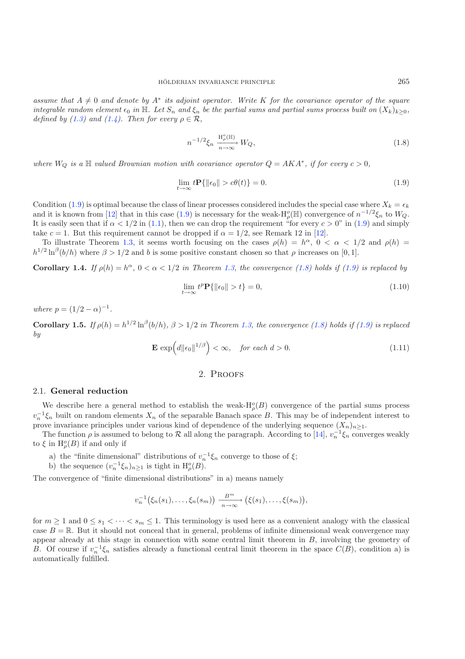<span id="page-4-2"></span><span id="page-4-1"></span>*assume that*  $A \neq 0$  *and denote by*  $A^*$  *its adjoint operator. Write* K *for the covariance operator of the square integrable random element*  $\epsilon_0$  *in*  $\mathbb{H}$ *. Let*  $S_n$  *and*  $\xi_n$  *be the partial sums and partial sums process built on*  $(X_k)_{k>0}$ *, defined by [\(1.3\)](#page-3-1)* and [\(1.4\)](#page-3-2). Then for every  $\rho \in \mathcal{R}$ ,

$$
n^{-1/2}\xi_n \xrightarrow[n \to \infty]{\mathrm{H}^o_p(\mathbb{H})} W_Q,\tag{1.8}
$$

*where*  $W_Q$  *is a*  $\mathbb{H}$  *valued Brownian motion with covariance operator*  $Q = AKA^*$ *, if for every*  $c > 0$ *,* 

$$
\lim_{t \to \infty} t \mathbf{P}\{ \|\epsilon_0\| > c\theta(t) \} = 0. \tag{1.9}
$$

Condition [\(1.9\)](#page-4-1) is optimal because the class of linear processes considered includes the special case where  $X_k = \epsilon_k$ and it is known from [\[12\]](#page-14-5) that in this case [\(1.9\)](#page-4-1) is necessary for the weak- $H^o_\rho(\mathbb{H})$  convergence of  $n^{-1/2}\xi_n$  to  $W_Q$ . It is easily seen that if  $\alpha < 1/2$  in [\(1.1\)](#page-2-2), then we can drop the requirement "for every  $c > 0$ " in [\(1.9\)](#page-4-1) and simply take  $c = 1$ . But this requirement cannot be dropped if  $\alpha = 1/2$ , see Remark 12 in [\[12\]](#page-14-5).

<span id="page-4-4"></span>To illustrate Theorem [1.3,](#page-3-3) it seems worth focusing on the cases  $\rho(h) = h^{\alpha}$ ,  $0 < \alpha < 1/2$  and  $\rho(h) =$  $h^{1/2} \ln^{\beta}(b/h)$  where  $\beta > 1/2$  and b is some positive constant chosen so that  $\rho$  increases on [0, 1].

**Corollary 1.4.** *If*  $\rho(h) = h^{\alpha}, 0 < \alpha < 1/2$  *in Theorem [1.3,](#page-3-3) the convergence [\(1.8\)](#page-4-2) holds if [\(1.9\)](#page-4-1) is replaced by* 

$$
\lim_{t \to \infty} t^p \mathbf{P}\{ \|\epsilon_0\| > t \} = 0,\tag{1.10}
$$

*where*  $p = (1/2 - \alpha)^{-1}$ .

<span id="page-4-3"></span>**Corollary 1.5.** *If*  $\rho(h) = h^{1/2} \ln^{\beta}(b/h)$ ,  $\beta > 1/2$  *in Theorem [1.3,](#page-3-3) the convergence* [\(1.8\)](#page-4-2) *holds if* [\(1.9\)](#page-4-1) *is replaced by*

$$
\mathbf{E} \exp\left(d\|\epsilon_0\|^{1/\beta}\right) < \infty, \quad \text{for each } d > 0. \tag{1.11}
$$

#### 2. Proofs

#### <span id="page-4-0"></span>2.1. **General reduction**

We describe here a general method to establish the weak- $H^o_\rho(B)$  convergence of the partial sums process  $v_n^{-1}\xi_n$  built on random elements  $X_n$  of the separable Banach space B. This may be of independent interest to prove invariance principles under various kind of dependence of the underlying sequence  $(X_n)_{n\geq 1}$ .

The function  $\rho$  is assumed to belong to R all along the paragraph. According to [\[14\]](#page-14-14),  $v_n^{-1}\xi_n$  converges weakly to  $\xi$  in  $\mathrm{H}_{\rho}^o(B)$  if and only if

- a) the "finite dimensional" distributions of  $v_n^{-1}\xi_n$  converge to those of  $\xi$ ;
- b) the sequence  $(v_n^{-1}\xi_n)_{n\geq 1}$  is tight in  $H^o_{\rho}(B)$ .

The convergence of "finite dimensional distributions" in a) means namely

$$
v_n^{-1}(\xi_n(s_1),\ldots,\xi_n(s_m))\xrightarrow[n\to\infty]{B^m} (\xi(s_1),\ldots,\xi(s_m)),
$$

for  $m \geq 1$  and  $0 \leq s_1 < \cdots < s_m \leq 1$ . This terminology is used here as a convenient analogy with the classical case  $B = \mathbb{R}$ . But it should not conceal that in general, problems of infinite dimensional weak convergence may appear already at this stage in connection with some central limit theorem in B, involving the geometry of B. Of course if  $v_n^{-1}\xi_n$  satisfies already a functional central limit theorem in the space  $C(B)$ , condition a) is automatically fulfilled.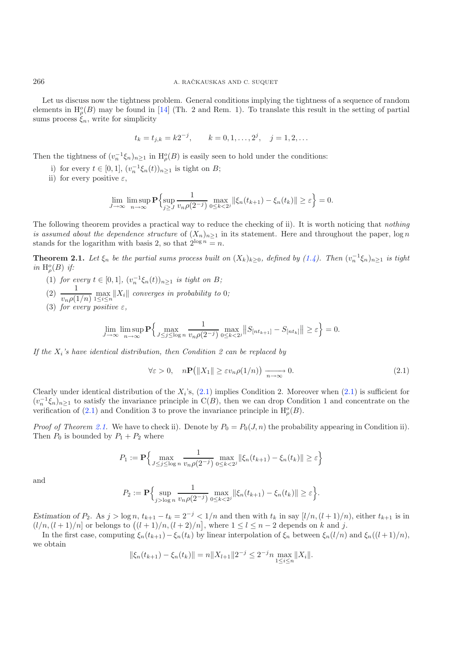Let us discuss now the tightness problem. General conditions implying the tightness of a sequence of random elements in  $H^o_\rho(B)$  may be found in [\[14\]](#page-14-14) (Th. 2 and Rem. 1). To translate this result in the setting of partial sums process  $\xi_n$ , write for simplicity

$$
t_k = t_{j,k} = k2^{-j},
$$
  $k = 0, 1, ..., 2^j, j = 1, 2, ...$ 

Then the tightness of  $(v_n^{-1}\xi_n)_{n\geq 1}$  in  $H^o_\rho(B)$  is easily seen to hold under the conditions:

- i) for every  $t \in [0, 1]$ ,  $(v_n^{-1} \xi_n(t))_{n \geq 1}$  is tight on B;
- ii) for every positive  $\varepsilon$ ,

$$
\lim_{J \to \infty} \limsup_{n \to \infty} \mathbf{P} \Big\{ \sup_{j \ge J} \frac{1}{v_n \rho(2^{-j})} \max_{0 \le k < 2^j} \|\xi_n(t_{k+1}) - \xi_n(t_k)\| \ge \varepsilon \Big\} = 0.
$$

The following theorem provides a practical way to reduce the checking of ii). It is worth noticing that *nothing is assumed about the dependence structure* of  $(X_n)_{n\geq 1}$  in its statement. Here and throughout the paper,  $\log n$ stands for the logarithm with basis 2, so that  $2^{\log n} = n$ .

**Theorem 2.1.** Let  $\xi_n$  be the partial sums process built on  $(X_k)_{k\geq 0}$ , defined by  $(1.4)$ *.* Then  $(v_n^{-1}\xi_n)_{n\geq 1}$  is tight *in*  $H^o_\rho(B)$  *if:* 

- <span id="page-5-0"></span>(1) *for every*  $t \in [0,1]$ *,*  $(v_n^{-1}\xi_n(t))_{n>1}$  *is tight on B;*
- (2)  $\frac{1}{v_n \rho(1/n)} \max_{1 \le i \le n}$  $||X_i||$  converges in probability to 0;
- (3) *for every positive*  $\varepsilon$ *,*

$$
\lim_{J\to\infty}\limsup_{n\to\infty}{\bf P}\Big\{\max_{J\le j\le \log n}\frac{1}{v_n\rho(2^{-j})}\max_{0\le k<2^j}\left\|S_{[nt_{k+1}]}-S_{[nt_k]}\right\|\ge \varepsilon\Big\}=0.
$$

*If the*  $X_i$ 's have identical distribution, then Condition 2 can be replaced by

$$
\forall \varepsilon > 0, \quad n\mathbf{P}(\|X_1\| \ge \varepsilon v_n \rho(1/n)) \xrightarrow[n \to \infty]{} 0. \tag{2.1}
$$

Clearly under identical distribution of the  $X_i$ 's,  $(2.1)$  implies Condition 2. Moreover when  $(2.1)$  is sufficient for  $(v_n^{-1}\xi_n)_{n>1}$  to satisfy the invariance principle in  $C(B)$ , then we can drop Condition 1 and concentrate on the verification of [\(2.1\)](#page-5-0) and Condition 3 to prove the invariance principle in  $H^o_\rho(B)$ .

*Proof of Theorem [2.1.](#page-2-1)* We have to check ii). Denote by  $P_0 = P_0(J, n)$  the probability appearing in Condition ii). Then  $P_0$  is bounded by  $P_1 + P_2$  where

$$
P_1 := \mathbf{P} \Big\{ \max_{J \le j \le \log n} \frac{1}{v_n \rho(2^{-j})} \max_{0 \le k < 2^j} \|\xi_n(t_{k+1}) - \xi_n(t_k)\| \ge \varepsilon \Big\}
$$

and

$$
P_2 := \mathbf{P} \Big\{ \sup_{j > \log n} \frac{1}{v_n \rho(2^{-j})} \max_{0 \le k < 2^j} \|\xi_n(t_{k+1}) - \xi_n(t_k)\| \ge \varepsilon \Big\}.
$$

*Estimation of*  $P_2$ . As  $j > \log n$ ,  $t_{k+1} - t_k = 2^{-j} < 1/n$  and then with  $t_k$  in say  $[l/n, (l+1)/n)$ , either  $t_{k+1}$  is in  $(l/n,(l+1)/n]$  or belongs to  $((l+1)/n,(l+2)/n]$ , where  $1 \leq l \leq n-2$  depends on k and j.

In the first case, computing  $\xi_n(t_{k+1})-\xi_n(t_k)$  by linear interpolation of  $\xi_n$  between  $\xi_n(l/n)$  and  $\xi_n((l+1)/n)$ , we obtain

$$
\|\xi_n(t_{k+1}) - \xi_n(t_k)\| = n\|X_{l+1}\|2^{-j} \le 2^{-j} n \max_{1 \le i \le n} \|X_i\|.
$$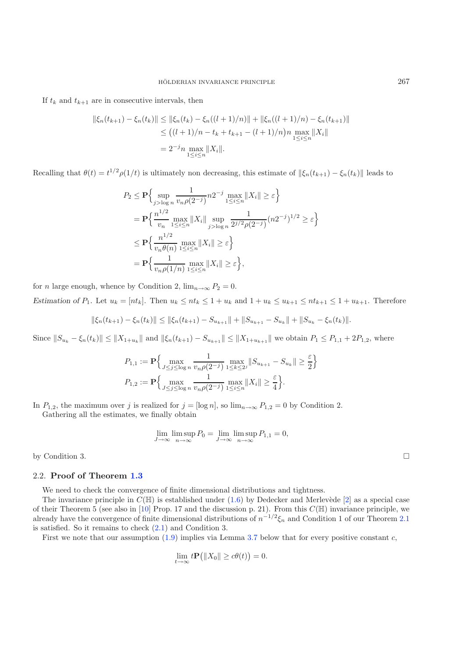If  $t_k$  and  $t_{k+1}$  are in consecutive intervals, then

$$
\|\xi_n(t_{k+1}) - \xi_n(t_k)\| \le \|\xi_n(t_k) - \xi_n((l+1)/n)\| + \|\xi_n((l+1)/n) - \xi_n(t_{k+1})\|
$$
  
\n
$$
\le ((l+1)/n - t_k + t_{k+1} - (l+1)/n)n \max_{1 \le i \le n} \|X_i\|
$$
  
\n
$$
= 2^{-j} n \max_{1 \le i \le n} \|X_i\|.
$$

Recalling that  $\theta(t) = t^{1/2} \rho(1/t)$  is ultimately non decreasing, this estimate of  $\|\xi_n(t_{k+1}) - \xi_n(t_k)\|$  leads to

$$
P_2 \le \mathbf{P} \Big\{ \sup_{j > \log n} \frac{1}{v_n \rho(2^{-j})} n 2^{-j} \max_{1 \le i \le n} ||X_i|| \ge \varepsilon \Big\}
$$
  
=  $\mathbf{P} \Big\{ \frac{n^{1/2}}{v_n} \max_{1 \le i \le n} ||X_i|| \sup_{j > \log n} \frac{1}{2^{j/2} \rho(2^{-j})} (n 2^{-j})^{1/2} \ge \varepsilon \Big\}$   

$$
\le \mathbf{P} \Big\{ \frac{n^{1/2}}{v_n \theta(n)} \max_{1 \le i \le n} ||X_i|| \ge \varepsilon \Big\}
$$
  
=  $\mathbf{P} \Big\{ \frac{1}{v_n \rho(1/n)} \max_{1 \le i \le n} ||X_i|| \ge \varepsilon \Big\},$ 

for *n* large enough, whence by Condition 2,  $\lim_{n\to\infty} P_2 = 0$ .

*Estimation of*  $P_1$ . Let  $u_k = [nt_k]$ . Then  $u_k \le nt_k \le 1 + u_k$  and  $1 + u_k \le u_{k+1} \le nt_{k+1} \le 1 + u_{k+1}$ . Therefore

$$
\|\xi_n(t_{k+1}) - \xi_n(t_k)\| \le \|\xi_n(t_{k+1}) - S_{u_{k+1}}\| + \|S_{u_{k+1}} - S_{u_k}\| + \|S_{u_k} - \xi_n(t_k)\|.
$$

Since  $||S_{u_k} - \xi_n(t_k)|| \le ||X_{1+u_k}||$  and  $||\xi_n(t_{k+1}) - S_{u_{k+1}}|| \le ||X_{1+u_{k+1}}||$  we obtain  $P_1 \le P_{1,1} + 2P_{1,2}$ , where

$$
P_{1,1} := \mathbf{P} \Big\{ \max_{J \le j \le \log n} \frac{1}{v_n \rho(2^{-j})} \max_{1 \le k \le 2^j} \|S_{u_{k+1}} - S_{u_k}\| \ge \frac{\varepsilon}{2} \Big\}
$$
  

$$
P_{1,2} := \mathbf{P} \Big\{ \max_{J \le j \le \log n} \frac{1}{v_n \rho(2^{-j})} \max_{1 \le i \le n} \|X_i\| \ge \frac{\varepsilon}{4} \Big\}.
$$

In  $P_{1,2}$ , the maximum over j is realized for  $j = [\log n]$ , so  $\lim_{n\to\infty} P_{1,2} = 0$  by Condition 2.

Gathering all the estimates, we finally obtain

$$
\lim_{J \to \infty} \limsup_{n \to \infty} P_0 = \lim_{J \to \infty} \limsup_{n \to \infty} P_{1,1} = 0,
$$

by Condition 3.

#### 2.2. **Proof of Theorem [1.3](#page-3-3)**

We need to check the convergence of finite dimensional distributions and tightness.

The invariance principle in  $C(\mathbb{H})$  is established under  $(1.6)$  by Dedecker and Merlevède [\[2\]](#page-14-11) as a special case of their Theorem 5 (see also in [\[10](#page-14-6)] Prop. 17 and the discussion p. 21). From this  $C(\mathbb{H})$  invariance principle, we already have the convergence of finite dimensional distributions of  $n^{-1/2}\xi_n$  and Condition 1 of our Theorem [2.1](#page-2-1) is satisfied. So it remains to check [\(2.1\)](#page-5-0) and Condition 3.

First we note that our assumption  $(1.9)$  implies via Lemma [3.7](#page-12-0) below that for every positive constant c,

$$
\lim_{t \to \infty} t \mathbf{P} (||X_0|| \ge c\theta(t)) = 0.
$$

 $\Box$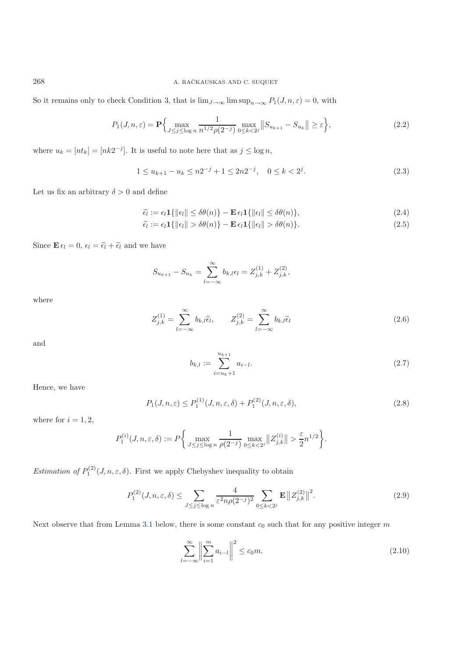So it remains only to check Condition 3, that is  $\lim_{J\to\infty} \limsup_{n\to\infty} P_1(J,n,\varepsilon) = 0$ , with

$$
P_1(J, n, \varepsilon) = \mathbf{P} \Biggl\{ \max_{J \le j \le \log n} \frac{1}{n^{1/2} \rho(2^{-j})} \max_{0 \le k < 2^j} \left\| S_{u_{k+1}} - S_{u_k} \right\| \ge \varepsilon \Biggr\},\tag{2.2}
$$

where  $u_k = [nt_k] = [nk2^{-j}]$ . It is useful to note here that as  $j \le \log n$ ,

<span id="page-7-6"></span><span id="page-7-5"></span>
$$
1 \le u_{k+1} - u_k \le n2^{-j} + 1 \le 2n2^{-j}, \quad 0 \le k < 2^j. \tag{2.3}
$$

Let us fix an arbitrary  $\delta > 0$  and define

$$
\hat{\epsilon}_l := \epsilon_l \mathbf{1}\{ \|\epsilon_l\| \le \delta\theta(n) \} - \mathbf{E} \epsilon_l \mathbf{1}\{ \|\epsilon_l\| \le \delta\theta(n) \},\tag{2.4}
$$

<span id="page-7-2"></span>
$$
\tilde{\epsilon}_l := \epsilon_l \mathbf{1}\{ \|\epsilon_l\| > \delta\theta(n) \} - \mathbf{E} \,\epsilon_l \mathbf{1}\{ \|\epsilon_l\| > \delta\theta(n) \}.
$$
\n(2.5)

Since  $\mathbf{E} \epsilon_l = 0$ ,  $\epsilon_l = \widehat{\epsilon_l} + \widetilde{\epsilon_l}$  and we have

$$
S_{u_{k+1}} - S_{u_k} = \sum_{l=-\infty}^{\infty} b_{k,l} \epsilon_l = Z_{j,k}^{(1)} + Z_{j,k}^{(2)},
$$

<span id="page-7-4"></span>where

$$
Z_{j,k}^{(1)} = \sum_{l=-\infty}^{\infty} b_{k,l} \hat{\epsilon}_l, \qquad Z_{j,k}^{(2)} = \sum_{l=-\infty}^{\infty} b_{k,l} \tilde{\epsilon}_l
$$
 (2.6)

and

$$
b_{k,l} := \sum_{i=u_k+1}^{u_{k+1}} a_{i-l}.
$$
\n(2.7)

<span id="page-7-1"></span>Hence, we have

$$
P_1(J,n,\varepsilon) \le P_1^{(1)}(J,n,\varepsilon,\delta) + P_1^{(2)}(J,n,\varepsilon,\delta),\tag{2.8}
$$

where for  $i = 1, 2$ ,

<span id="page-7-3"></span>
$$
P_1^{(i)}(J,n,\varepsilon,\delta) := P\bigg\{\max_{J \le j \le \log n} \frac{1}{\rho(2^{-j})} \max_{0 \le k < 2^j} \|Z_{j,k}^{(i)}\| > \frac{\varepsilon}{2} n^{1/2} \bigg\}.
$$

*Estimation of*  $P_1^{(2)}(J,n,\varepsilon,\delta)$ . First we apply Chebyshev inequality to obtain

$$
P_1^{(2)}(J,n,\varepsilon,\delta) \le \sum_{J \le j \le \log n} \frac{4}{\varepsilon^2 n \rho (2^{-j})^2} \sum_{0 \le k < 2^j} \mathbf{E} \|Z_{j,k}^{(2)}\|^2. \tag{2.9}
$$

Next observe that from Lemma [3.1](#page-2-1) below, there is some constant  $c_0$  such that for any positive integer  $m$ 

$$
\sum_{l=-\infty}^{\infty} \left\| \sum_{i=1}^{m} a_{i-l} \right\|^2 \le c_0 m.
$$
\n(2.10)

<span id="page-7-0"></span>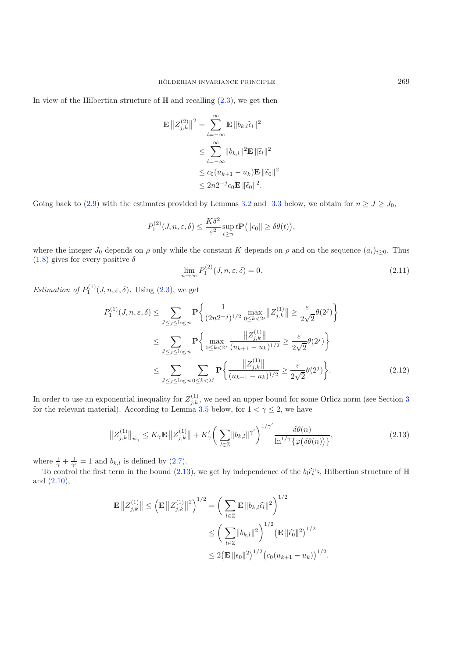In view of the Hilbertian structure of  $\mathbb{H}$  and recalling  $(2.3)$ , we get then

<span id="page-8-2"></span>
$$
\mathbf{E} ||Z_{j,k}^{(2)}||^2 = \sum_{l=-\infty}^{\infty} \mathbf{E} ||b_{k,l}\tilde{\epsilon}_l||^2
$$
  
\n
$$
\leq \sum_{l=-\infty}^{\infty} ||b_{k,l}||^2 \mathbf{E} ||\tilde{\epsilon}_l||^2
$$
  
\n
$$
\leq c_0 (u_{k+1} - u_k) \mathbf{E} ||\tilde{\epsilon}_0||^2
$$
  
\n
$$
\leq 2n2^{-j} c_0 \mathbf{E} ||\tilde{\epsilon}_0||^2.
$$

Going back to [\(2.9\)](#page-7-1) with the estimates provided by Lemmas [3.2](#page-2-3) and [3.3](#page-3-3) below, we obtain for  $n \ge J \ge J_0$ ,

$$
P_1^{(2)}(J,n,\varepsilon,\delta) \le \frac{K\delta^2}{\varepsilon^2} \sup_{t \ge n} t \mathbf{P} \big( ||\epsilon_0|| \ge \delta \theta(t) \big),
$$

where the integer  $J_0$  depends on  $\rho$  only while the constant K depends on  $\rho$  and on the sequence  $(a_i)_{i\geq 0}$ . Thus  $(1.8)$  gives for every positive  $\delta$ 

<span id="page-8-1"></span>
$$
\lim_{n \to \infty} P_1^{(2)}(J, n, \varepsilon, \delta) = 0. \tag{2.11}
$$

<span id="page-8-0"></span>*Estimation of*  $P_1^{(1)}(J,n,\varepsilon,\delta)$ . Using [\(2.3\)](#page-7-0), we get

$$
P_{1}^{(1)}(J, n, \varepsilon, \delta) \leq \sum_{J \leq j \leq \log n} \mathbf{P} \bigg\{ \frac{1}{(2n2^{-j})^{1/2}} \max_{0 \leq k < 2^{j}} \|Z_{j,k}^{(1)}\| \geq \frac{\varepsilon}{2\sqrt{2}} \theta(2^{j}) \bigg\}
$$
  
\n
$$
\leq \sum_{J \leq j \leq \log n} \mathbf{P} \bigg\{ \max_{0 \leq k < 2^{j}} \frac{\|Z_{j,k}^{(1)}\|}{(u_{k+1} - u_k)^{1/2}} \geq \frac{\varepsilon}{2\sqrt{2}} \theta(2^{j}) \bigg\}
$$
  
\n
$$
\leq \sum_{J \leq j \leq \log n} \sum_{0 \leq k < 2^{j}} \mathbf{P} \bigg\{ \frac{\|Z_{j,k}^{(1)}\|}{(u_{k+1} - u_k)^{1/2}} \geq \frac{\varepsilon}{2\sqrt{2}} \theta(2^{j}) \bigg\}.
$$
 (2.12)

In order to use an exponential inequality for  $Z_{j,k}^{(1)}$ , we need an upper bound for some Orlicz norm (see Section [3](#page-9-0) for the relevant material). According to Lemma [3.5](#page-4-3) below, for  $1 < \gamma \leq 2$ , we have

$$
||Z_{j,k}^{(1)}||_{\psi_{\gamma}} \le K_{\gamma} \mathbf{E} ||Z_{j,k}^{(1)}|| + K_{\gamma}' \bigg(\sum_{l \in \mathbb{Z}} ||b_{k,l}||^{\gamma'}\bigg)^{1/\gamma'} \frac{\delta\theta(n)}{\ln^{1/\gamma}\{\varphi(\delta\theta(n))\}},
$$
\n(2.13)

where  $\frac{1}{\gamma} + \frac{1}{\gamma'} = 1$  and  $b_{k,l}$  is defined by [\(2.7\)](#page-7-2).

To control the first term in the bound [\(2.13\)](#page-8-0), we get by independence of the  $b_l\hat{\epsilon}_l$ 's, Hilbertian structure of  $\mathbb H$ and [\(2.10\)](#page-7-3),

$$
\mathbf{E} ||Z_{j,k}^{(1)}|| \leq \left(\mathbf{E} ||Z_{j,k}^{(1)}||^2\right)^{1/2} = \left(\sum_{l \in \mathbb{Z}} \mathbf{E} ||b_{k,l}\hat{\epsilon_l}||^2\right)^{1/2} \leq \left(\sum_{l \in \mathbb{Z}} ||b_{k,l}||^2\right)^{1/2} \left(\mathbf{E} ||\hat{\epsilon_0}||^2\right)^{1/2} \leq 2\left(\mathbf{E} ||\epsilon_0||^2\right)^{1/2} \left(c_0(u_{k+1} - u_k)\right)^{1/2}.
$$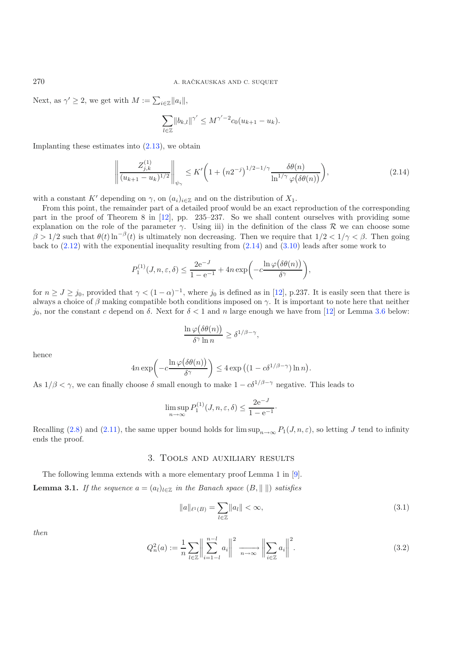Next, as  $\gamma' \geq 2$ , we get with  $M := \sum_{i \in \mathbb{Z}} ||a_i||$ ,

$$
\sum_{l \in \mathbb{Z}} ||b_{k,l}||^{\gamma'} \le M^{\gamma'-2} c_0 (u_{k+1} - u_k).
$$

Implanting these estimates into  $(2.13)$ , we obtain

$$
\left\| \frac{Z_{j,k}^{(1)}}{(u_{k+1} - u_k)^{1/2}} \right\|_{\psi_\gamma} \le K' \bigg( 1 + \left( n2^{-j} \right)^{1/2 - 1/\gamma} \frac{\delta \theta(n)}{\ln^{1/\gamma} \varphi(\delta \theta(n))} \bigg),\tag{2.14}
$$

with a constant K' depending on  $\gamma$ , on  $(a_i)_{i\in\mathbb{Z}}$  and on the distribution of  $X_1$ .

From this point, the remainder part of a detailed proof would be an exact reproduction of the corresponding part in the proof of Theorem 8 in [\[12](#page-14-5)], pp. 235–237. So we shall content ourselves with providing some explanation on the role of the parameter  $\gamma$ . Using iii) in the definition of the class R we can choose some  $\beta > 1/2$  such that  $\theta(t) \ln^{-\beta}(t)$  is ultimately non decreasing. Then we require that  $1/2 < 1/\gamma < \beta$ . Then going back to  $(2.12)$  with the exponential inequality resulting from  $(2.14)$  and  $(3.10)$  leads after some work to

$$
P_1^{(1)}(J,n,\varepsilon,\delta) \le \frac{2e^{-J}}{1-e^{-1}} + 4n \exp\biggl(-c\frac{\ln \varphi\bigl(\delta \theta(n)\bigr)}{\delta^\gamma}\biggr),
$$

for  $n \ge J \ge j_0$ , provided that  $\gamma < (1 - \alpha)^{-1}$ , where  $j_0$  is defined as in [\[12\]](#page-14-5), p.237. It is easily seen that there is always a choice of  $\beta$  making compatible both conditions imposed on  $\gamma$ . It is important to note here that neither jo, nor the constant c depend on  $\delta$ . Next for  $\delta$  < 1 and n large enough we have from [\[12\]](#page-14-5) or Lemma [3.6](#page-12-1) below:

$$
\frac{\ln \varphi(\delta \theta(n))}{\delta^{\gamma} \ln n} \geq \delta^{1/\beta - \gamma},
$$

hence

$$
4n\exp\bigg(-c\frac{\ln\varphi\big(\delta\theta(n)\big)}{\delta^{\gamma}}\bigg) \leq 4\exp\big((1-c\delta^{1/\beta-\gamma})\ln n\big).
$$

As  $1/\beta < \gamma$ , we can finally choose  $\delta$  small enough to make  $1 - c\delta^{1/\beta - \gamma}$  negative. This leads to

$$
\limsup_{n \to \infty} P_1^{(1)}(J, n, \varepsilon, \delta) \le \frac{2e^{-J}}{1 - e^{-1}}.
$$

<span id="page-9-2"></span><span id="page-9-0"></span>Recalling [\(2.8\)](#page-7-4) and [\(2.11\)](#page-8-2), the same upper bound holds for  $\limsup_{n\to\infty} P_1(J,n,\varepsilon)$ , so letting J tend to infinity ends the proof.

## 3. Tools and auxiliary results

The following lemma extends with a more elementary proof Lemma 1 in [\[9](#page-14-10)]. **Lemma 3.1.** *If the sequence*  $a = (a_i)_{i \in \mathbb{Z}}$  *in the Banach space*  $(B, \|\ \|)$  *satisfies* 

$$
||a||_{\ell^1(B)} = \sum_{l \in \mathbb{Z}} ||a_l|| < \infty,\tag{3.1}
$$

*then*

$$
Q_n^2(a) := \frac{1}{n} \sum_{l \in \mathbb{Z}} \left\| \sum_{i=1-l}^{n-l} a_i \right\|^2 \xrightarrow[n \to \infty]{} \left\| \sum_{i \in \mathbb{Z}} a_i \right\|^2.
$$
 (3.2)

<span id="page-9-1"></span>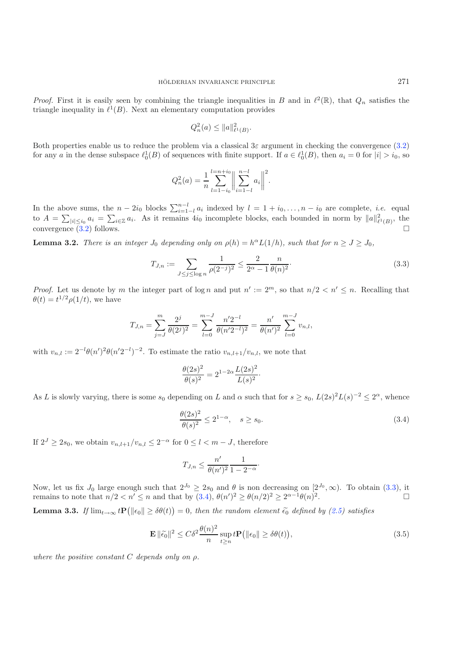*Proof.* First it is easily seen by combining the triangle inequalities in B and in  $\ell^2(\mathbb{R})$ , that  $Q_n$  satisfies the triangle inequality in  $\ell^1(B)$ . Next an elementary computation provides

$$
Q_n^2(a) \le \|a\|_{\ell^1(B)}^2.
$$

<span id="page-10-0"></span>Both properties enable us to reduce the problem via a classical  $3\varepsilon$  argument in checking the convergence [\(3.2\)](#page-9-2) for any a in the dense subspace  $\ell_0^1(B)$  of sequences with finite support. If  $a \in \ell_0^1(B)$ , then  $a_i = 0$  for  $|i| > i_0$ , so

$$
Q_n^2(a) = \frac{1}{n} \sum_{l=1-i_0}^{l=n+i_0} \left\| \sum_{i=1-l}^{n-l} a_i \right\|^2.
$$

In the above sums, the  $n - 2i_0$  blocks  $\sum_{i=1-l}^{n-l} a_i$  indexed by  $l = 1 + i_0, \ldots, n - i_0$  are complete, *i.e.* equal to  $A = \sum_{|i| \leq i_0} a_i = \sum_{i \in \mathbb{Z}} a_i$ . As it remains  $4i_0$  incomplete blocks, each bounded in norm by  $||$ convergence  $(3.2)$  follows.

**Lemma 3.2.** *There is an integer*  $J_0$  *depending only on*  $\rho(h) = h^{\alpha} L(1/h)$ *, such that for*  $n \ge J \ge J_0$ *,* 

$$
T_{J,n} := \sum_{J \le j \le \log n} \frac{1}{\rho(2^{-j})^2} \le \frac{2}{2^{\alpha} - 1} \frac{n}{\theta(n)^2}.
$$
 (3.3)

*Proof.* Let us denote by m the integer part of  $\log n$  and put  $n' := 2^m$ , so that  $n/2 < n' \le n$ . Recalling that  $\theta(t) = t^{1/2} \rho(1/t)$ , we have

<span id="page-10-1"></span>
$$
T_{J,n} = \sum_{j=J}^{m} \frac{2^j}{\theta(2^j)^2} = \sum_{l=0}^{m-J} \frac{n' 2^{-l}}{\theta(n' 2^{-l})^2} = \frac{n'}{\theta(n')^2} \sum_{l=0}^{m-J} v_{n,l},
$$

with  $v_{n,l} := 2^{-l} \theta(n')^2 \theta(n' 2^{-l})^{-2}$ . To estimate the ratio  $v_{n,l+1}/v_{n,l}$ , we note that

$$
\frac{\theta(2s)^2}{\theta(s)^2} = 2^{1-2\alpha} \frac{L(2s)^2}{L(s)^2}.
$$

<span id="page-10-2"></span>As L is slowly varying, there is some  $s_0$  depending on L and  $\alpha$  such that for  $s \geq s_0$ ,  $L(2s)^2L(s)^{-2} \leq 2^{\alpha}$ , whence

$$
\frac{\theta(2s)^2}{\theta(s)^2} \le 2^{1-\alpha}, \quad s \ge s_0. \tag{3.4}
$$

If  $2^{J} \geq 2s_0$ , we obtain  $v_{n,l+1}/v_{n,l} \leq 2^{-\alpha}$  for  $0 \leq l < m-J$ , therefore

$$
T_{J,n} \le \frac{n'}{\theta(n')^2} \frac{1}{1 - 2^{-\alpha}}.
$$

Now, let us fix  $J_0$  large enough such that  $2^{J_0} \ge 2s_0$  and  $\theta$  is non decreasing on  $[2^{J_0}, \infty)$ . To obtain [\(3.3\)](#page-10-0), it remains to note that  $n/2 < n' \le n$  and that by  $(3.4)$ ,  $\theta(n')^2 \ge \theta(n/2)^2 \ge 2^{\alpha-1}\theta(n)^2$ .

**Lemma 3.3.** *If*  $\lim_{t\to\infty} t \mathbf{P}(\|\epsilon_0\| \ge \delta \theta(t)) = 0$ , then the random element  $\tilde{\epsilon_0}$  defined by [\(2.5\)](#page-7-5) satisfies

$$
\mathbf{E} \|\tilde{\epsilon_0}\|^2 \le C\delta^2 \frac{\theta(n)^2}{n} \sup_{t \ge n} t \mathbf{P}(\|\epsilon_0\| \ge \delta\theta(t)),
$$
\n(3.5)

*where the positive constant* C *depends only on* ρ*.*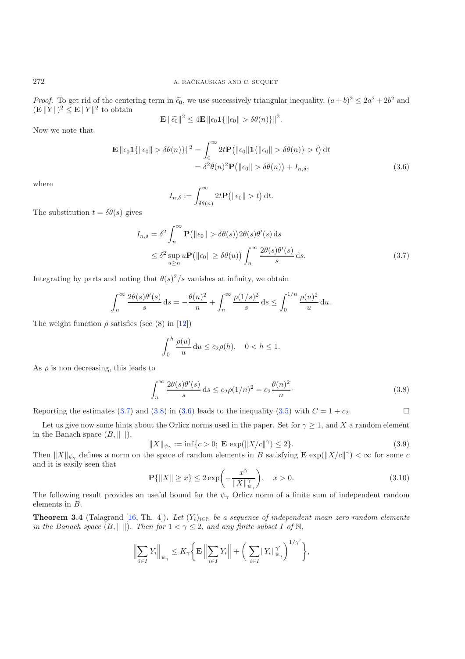*Proof.* To get rid of the centering term in  $\tilde{\epsilon_0}$ , we use successively triangular inequality,  $(a+b)^2 \leq 2a^2 + 2b^2$  and  $(\mathbf{E} || Y ||)^2 \leq \mathbf{E} || Y ||^2$  to obtain

<span id="page-11-3"></span>
$$
\mathbf{E} \|\widetilde{\epsilon_0}\|^2 \le 4 \mathbf{E} \|\epsilon_0 \mathbf{1}\{\|\epsilon_0\| > \delta \theta(n)\}\|^2.
$$

Now we note that

$$
\mathbf{E} \|\epsilon_0 \mathbf{1}\{\|\epsilon_0\| > \delta\theta(n)\}\|^2 = \int_0^\infty 2t \mathbf{P}(\|\epsilon_0\| \mathbf{1}\{\|\epsilon_0\| > \delta\theta(n)\} > t) dt
$$
  
=  $\delta^2 \theta(n)^2 \mathbf{P}(\|\epsilon_0\| > \delta\theta(n)) + I_{n,\delta},$  (3.6)

where

<span id="page-11-1"></span>
$$
I_{n,\delta} := \int_{\delta\theta(n)}^{\infty} 2t \mathbf{P} \big( ||\epsilon_0|| > t \big) dt.
$$

The substitution  $t = \delta\theta(s)$  gives

$$
I_{n,\delta} = \delta^2 \int_n^{\infty} \mathbf{P}(\|\epsilon_0\| > \delta\theta(s)) 2\theta(s)\theta'(s) ds
$$
  
\n
$$
\leq \delta^2 \sup_{u \geq n} u \mathbf{P}(\|\epsilon_0\| \geq \delta\theta(u)) \int_n^{\infty} \frac{2\theta(s)\theta'(s)}{s} ds.
$$
\n(3.7)

Integrating by parts and noting that  $\theta(s)^2/s$  vanishes at infinity, we obtain

<span id="page-11-2"></span>
$$
\int_n^{\infty} \frac{2\theta(s)\theta'(s)}{s} ds = -\frac{\theta(n)^2}{n} + \int_n^{\infty} \frac{\rho(1/s)^2}{s} ds \le \int_0^{1/n} \frac{\rho(u)^2}{u} du.
$$

The weight function  $\rho$  satisfies (see (8) in [\[12\]](#page-14-5))

$$
\int_0^h \frac{\rho(u)}{u} \, \mathrm{d}u \le c_2 \rho(h), \quad 0 < h \le 1.
$$

<span id="page-11-0"></span>As  $\rho$  is non decreasing, this leads to

$$
\int_{n}^{\infty} \frac{2\theta(s)\theta'(s)}{s} ds \le c_2 \rho(1/n)^2 = c_2 \frac{\theta(n)^2}{n}.
$$
\n(3.8)

Reporting the estimates [\(3.7\)](#page-11-1) and [\(3.8\)](#page-11-2) in [\(3.6\)](#page-11-3) leads to the inequality [\(3.5\)](#page-10-2) with  $C = 1 + c_2$ .  $\Box$ 

Let us give now some hints about the Orlicz norms used in the paper. Set for  $\gamma \geq 1$ , and X a random element in the Banach space  $(B, \|\ \|)$ ,

$$
||X||_{\psi_{\gamma}} := \inf\{c > 0; \ \mathbf{E} \, \exp(||X/c||^{\gamma}) \le 2\}.
$$
 (3.9)

Then  $||X||_{\psi_{\gamma}}$  defines a norm on the space of random elements in B satisfying  $\mathbf{E} \exp(||X/c||^{\gamma}) < \infty$  for some c and it is easily seen that

$$
\mathbf{P}\{\|X\| \ge x\} \le 2\exp\left(-\frac{x^{\gamma}}{\|X\|_{\psi_{\gamma}}^{\gamma}}\right), \quad x > 0. \tag{3.10}
$$

The following result provides an useful bound for the  $\psi_{\gamma}$  Orlicz norm of a finite sum of independent random elements in B.

**Theorem 3.4** (Talagrand [\[16](#page-14-15), Th. 4]). Let  $(Y_i)_{i \in \mathbb{N}}$  be a sequence of independent mean zero random elements *in the Banach space*  $(B, \|\ \|)$ *. Then for*  $1 < \gamma \leq 2$ *, and any finite subset* I of N,

$$
\Big\|\sum_{i\in I}Y_i\Big\|_{\psi_\gamma}\leq K_\gamma\Big\{\mathbf{E}\,\Big\|\sum_{i\in I}Y_i\Big\|+\bigg(\sum_{i\in I}\|Y_i\|_{\psi_\gamma}^{\gamma'}\bigg)^{1/\gamma'}\Big\},\,
$$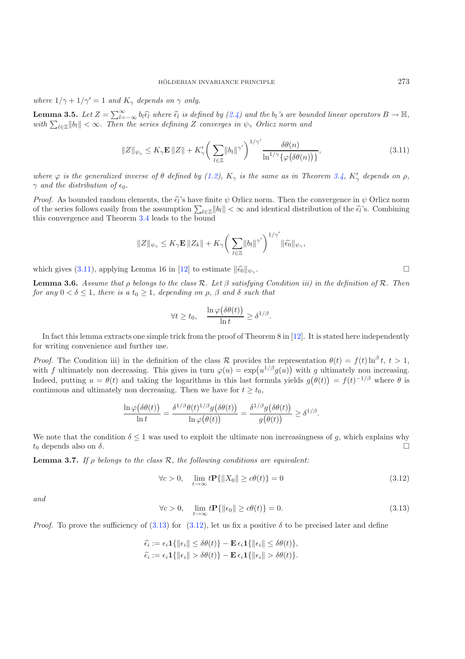<span id="page-12-2"></span>*where*  $1/\gamma + 1/\gamma' = 1$  *and*  $K_{\gamma}$  *depends on*  $\gamma$  *only.* 

**Lemma 3.5.** Let  $Z = \sum_{l=-\infty}^{\infty} b_l \hat{\epsilon}_l$  where  $\hat{\epsilon}_l$  is defined by [\(2.4\)](#page-7-6) and the  $b_l$ 's are bounded linear operators  $B \to \mathbb{H}$ , with  $\sum_{l \in \mathbb{Z}} ||b_l|| < \infty$ . Then the series defining Z converges in  $\psi_\gamma$  Orlicz no

$$
||Z||_{\psi_{\gamma}} \le K_{\gamma} \mathbf{E} ||Z|| + K_{\gamma}' \bigg( \sum_{l \in \mathbb{Z}} ||b_l||^{\gamma'} \bigg)^{1/\gamma'} \frac{\delta \theta(n)}{\ln^{1/\gamma} {\{\varphi(\delta \theta(n))\}}},
$$
\n(3.11)

*where*  $\varphi$  *is the generalized inverse of*  $\theta$  *defined by* [\(1.2\)](#page-3-5),  $K_{\gamma}$  *is the same as in Theorem* [3.4,](#page-4-4)  $K'_{\gamma}$  *depends on*  $\rho$ *,*  $\gamma$  *and the distribution of*  $\epsilon_0$ *.* 

*Proof.* As bounded random elements, the  $\hat{\epsilon}_l$ 's have finite  $\psi$  Orlicz norm. Then the convergence in  $\psi$  Orlicz norm of the series follows easily from the assumption  $\sum_{l\in\mathbb{Z}}\|b_l\| < \infty$  and identical distribution of the  $\hat{\epsilon}_l$ 's. Combining this convergence and Theorem [3.4](#page-4-4) leads to the bound

$$
||Z||_{\psi_{\gamma}} \leq K_{\gamma} \mathbf{E} ||Z_{k}|| + K_{\gamma} \bigg(\sum_{l \in \mathbb{Z}} ||b_{l}||^{\gamma'}\bigg)^{1/\gamma'} ||\widehat{\epsilon_{0}}||_{\psi_{\gamma}},
$$

<span id="page-12-1"></span>which gives [\(3.11\)](#page-12-2), applying Lemma 16 in [\[12\]](#page-14-5) to estimate  $\|\hat{\epsilon}_0\|_{\psi_\gamma}$ .

**Lemma 3.6.** *Assume that* ρ *belongs to the class* R*. Let* β *satisfying Condition iii) in the definition of* R*. Then for any*  $0 < \delta \leq 1$ *, there is a*  $t_0 \geq 1$ *, depending on*  $\rho$ *,*  $\beta$  *and*  $\delta$  *such that* 

$$
\forall t \ge t_0, \quad \frac{\ln \varphi(\delta \theta(t))}{\ln t} \ge \delta^{1/\beta}.
$$

In fact this lemma extracts one simple trick from the proof of Theorem 8 in  $[12]$  $[12]$ . It is stated here independently for writing convenience and further use.

*Proof.* The Condition iii) in the definition of the class R provides the representation  $\theta(t) = f(t) \ln^{\beta} t$ ,  $t > 1$ , with f ultimately non decreasing. This gives in turn  $\varphi(u) = \exp(u^{1/\beta} g(u))$  with g ultimately non increasing. Indeed, putting  $u = \theta(t)$  and taking the logarithms in this last formula yields  $g(\theta(t)) = f(t)^{-1/\beta}$  where  $\theta$  is continuous and ultimately non decreasing. Then we have for  $t \geq t_0$ ,

<span id="page-12-4"></span><span id="page-12-3"></span>
$$
\frac{\ln \varphi(\delta \theta(t))}{\ln t} = \frac{\delta^{1/\beta} \theta(t)^{1/\beta} g(\delta \theta(t))}{\ln \varphi(\theta(t))} = \frac{\delta^{1/\beta} g(\delta \theta(t))}{g(\theta(t))} \geq \delta^{1/\beta}.
$$

We note that the condition  $\delta \leq 1$  was used to exploit the ultimate non increasingness of g, which explains why  $t_0$  depends also on  $\delta$ .

<span id="page-12-0"></span>**Lemma 3.7.** *If*  $\rho$  *belongs to the class*  $\mathcal{R}$ *, the following conditions are equivalent:* 

$$
\forall c > 0, \quad \lim_{t \to \infty} t \mathbf{P}\{\|X_0\| \ge c\theta(t)\} = 0 \tag{3.12}
$$

*and*

$$
\forall c > 0, \quad \lim_{t \to \infty} t \mathbf{P}\{\|\epsilon_0\| \ge c\theta(t)\} = 0. \tag{3.13}
$$

*Proof.* To prove the sufficiency of [\(3.13\)](#page-12-3) for [\(3.12\)](#page-12-4), let us fix a positive  $\delta$  to be precised later and define

$$
\begin{aligned}\n\widehat{\epsilon_i} &:= \epsilon_i \mathbf{1} \{ \|\epsilon_i\| \le \delta \theta(t) \} - \mathbf{E} \, \epsilon_i \mathbf{1} \{ \|\epsilon_i\| \le \delta \theta(t) \}, \\
\widetilde{\epsilon_i} &:= \epsilon_i \mathbf{1} \{ \|\epsilon_i\| > \delta \theta(t) \} - \mathbf{E} \, \epsilon_i \mathbf{1} \{ \|\epsilon_i\| > \delta \theta(t) \}.\n\end{aligned}
$$

 $\Box$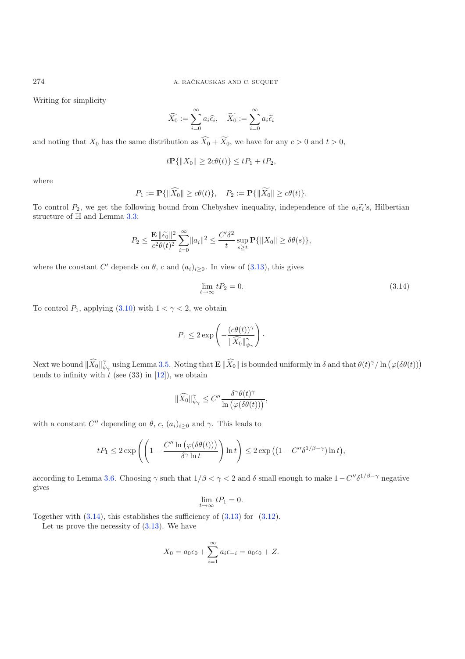Writing for simplicity

$$
\widehat{X}_0 := \sum_{i=0}^{\infty} a_i \widehat{\epsilon}_i, \quad \widetilde{X}_0 := \sum_{i=0}^{\infty} a_i \widetilde{\epsilon}_i
$$

and noting that  $X_0$  has the same distribution as  $X_0 + X_0$ , we have for any  $c > 0$  and  $t > 0$ ,

$$
t\mathbf{P}\{\|X_0\| \ge 2c\theta(t)\} \le tP_1 + tP_2,
$$

where

<span id="page-13-0"></span>
$$
P_1 := \mathbf{P}\{\|\widehat{X_0}\| \ge c\theta(t)\}, \quad P_2 := \mathbf{P}\{\|\widetilde{X_0}\| \ge c\theta(t)\}.
$$

To control  $P_2$ , we get the following bound from Chebyshev inequality, independence of the  $a_i\tilde{\epsilon}_i$ 's, Hilbertian structure of H and Lemma [3.3:](#page-3-3)

$$
P_2 \le \frac{\mathbf{E} \|\tilde{\epsilon_0}\|^2}{c^2 \theta(t)^2} \sum_{i=0}^{\infty} \|a_i\|^2 \le \frac{C'\delta^2}{t} \sup_{s \ge t} \mathbf{P}\{\|X_0\| \ge \delta \theta(s)\},
$$

where the constant C' depends on  $\theta$ , c and  $(a_i)_{i\geq 0}$ . In view of [\(3.13\)](#page-12-3), this gives

$$
\lim_{t \to \infty} tP_2 = 0. \tag{3.14}
$$

To control  $P_1$ , applying [\(3.10\)](#page-11-0) with  $1 < \gamma < 2$ , we obtain

$$
P_1 \leq 2 \exp \left(-\frac{(c\theta(t))^\gamma}{\|\widehat{X}_0\|_{\psi_\gamma}^\gamma}\right).
$$

Next we bound  $\|\widehat{X}_0\|_{\psi_\gamma}^{\gamma}$  using Lemma [3.5.](#page-4-3) Noting that  $\mathbf{E} \|\widehat{X}_0\|$  is bounded uniformly in  $\delta$  and that  $\theta(t)^{\gamma}/\ln(\varphi(\delta\theta(t)))$ tends to infinity with  $t$  (see (33) in [\[12](#page-14-5)]), we obtain

$$
\|\widehat{X_0}\|_{\psi_\gamma}^\gamma \leq C'' \frac{\delta^\gamma \theta(t)^\gamma}{\ln\left(\varphi(\delta \theta(t))\right)},
$$

with a constant  $C''$  depending on  $\theta$ , c,  $(a_i)_{i\geq 0}$  and  $\gamma$ . This leads to

$$
tP_1 \leq 2 \exp\left( \left( 1 - \frac{C'' \ln\left(\varphi(\delta\theta(t))\right)}{\delta^{\gamma} \ln t} \right) \ln t \right) \leq 2 \exp\left( (1 - C'' \delta^{1/\beta - \gamma}) \ln t \right),
$$

according to Lemma [3.6.](#page-12-1) Choosing  $\gamma$  such that  $1/\beta < \gamma < 2$  and  $\delta$  small enough to make  $1-C''\delta^{1/\beta-\gamma}$  negative gives

$$
\lim_{t \to \infty} tP_1 = 0.
$$

Together with  $(3.14)$ , this establishes the sufficiency of  $(3.13)$  for  $(3.12)$ .

Let us prove the necessity of  $(3.13)$ . We have

$$
X_0 = a_0 \epsilon_0 + \sum_{i=1}^{\infty} a_i \epsilon_{-i} = a_0 \epsilon_0 + Z.
$$